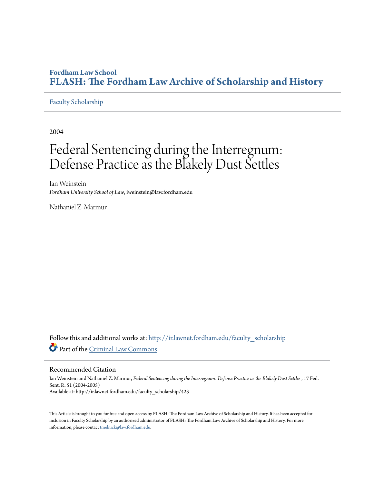## **Fordham Law School [FLASH: The Fordham Law Archive of Scholarship and History](http://ir.lawnet.fordham.edu?utm_source=ir.lawnet.fordham.edu%2Ffaculty_scholarship%2F423&utm_medium=PDF&utm_campaign=PDFCoverPages)**

### [Faculty Scholarship](http://ir.lawnet.fordham.edu/faculty_scholarship?utm_source=ir.lawnet.fordham.edu%2Ffaculty_scholarship%2F423&utm_medium=PDF&utm_campaign=PDFCoverPages)

2004

# Federal Sentencing during the Interregnum: Defense Practice as the Blakely Dust Settles

Ian Weinstein *Fordham University School of Law*, iweinstein@law.fordham.edu

Nathaniel Z. Marmur

Follow this and additional works at: [http://ir.lawnet.fordham.edu/faculty\\_scholarship](http://ir.lawnet.fordham.edu/faculty_scholarship?utm_source=ir.lawnet.fordham.edu%2Ffaculty_scholarship%2F423&utm_medium=PDF&utm_campaign=PDFCoverPages) Part of the [Criminal Law Commons](http://network.bepress.com/hgg/discipline/912?utm_source=ir.lawnet.fordham.edu%2Ffaculty_scholarship%2F423&utm_medium=PDF&utm_campaign=PDFCoverPages)

#### Recommended Citation

Ian Weinstein and Nathaniel Z. Marmur, *Federal Sentencing during the Interregnum: Defense Practice as the Blakely Dust Settles* , 17 Fed. Sent. R. 51 (2004-2005) Available at: http://ir.lawnet.fordham.edu/faculty\_scholarship/423

This Article is brought to you for free and open access by FLASH: The Fordham Law Archive of Scholarship and History. It has been accepted for inclusion in Faculty Scholarship by an authorized administrator of FLASH: The Fordham Law Archive of Scholarship and History. For more information, please contact [tmelnick@law.fordham.edu](mailto:tmelnick@law.fordham.edu).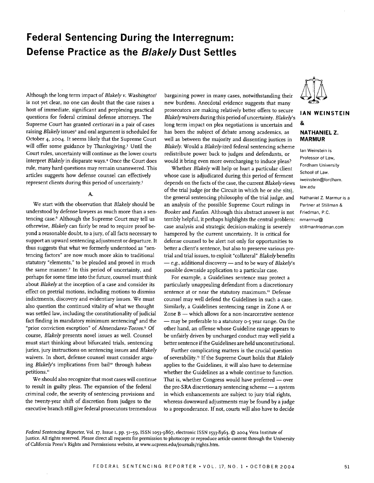## **Federal Sentencing During the Interregnum: Defense Practice as the Blakely Dust Settles**

Although the long term impact of *Blakely v. Washington'* is not yet clear, no one can doubt that the case raises a host of immediate, significant and perplexing practical questions for federal criminal defense attorneys. The Supreme Court has granted *certiorari* in a pair of cases raising Blakely issues<sup>2</sup> and oral argument is scheduled for October 4, **2004.** It seems likely that the Supreme Court will offer some guidance by Thanksgiving.<sup>3</sup> Until the Court rules, uncertainty will continue as the lower courts interpret *Blakely* in disparate ways.<sup>4</sup> Once the Court does rule, many hard questions may remain unanswered. This articles suggests how defense counsel can effectively represent clients during this period of uncertainty.<sup>5</sup>

#### A.

We start with the observation that *Blakely* should be understood by defense lawyers as much more than a sentencing case.6 Although the Supreme Court may tell us otherwise, *Blakely* can fairly be read to require proof beyond a reasonable doubt, to a jury, of all facts necessary to support an upward sentencing adjustment or departure. It thus suggests that what we formerly understood as "sentencing factors" are now much more akin to traditional statutory "elements," to be pleaded and proved in much the same manner.<sup>7</sup> In this period of uncertainty, and perhaps for some time into the future, counsel must think about *Blakely* at the inception of a case and consider its effect on pretrial motions, including motions to dismiss indictments, discovery and evidentiary issues. We must also question the continued vitality of what we thought was settled law, including the constitutionality of judicial fact finding in mandatory minimum sentencing<sup>8</sup> and the .prior conviction exception" of *Almendarez-Torres.9* Of course, *Blakely* presents novel issues as well. Counsel must start thinking about bifurcated trials, sentencing juries, jury instructions on sentencing issues and *Blakely* waivers. In short, defense counsel must consider arguing *Blakely's* implications from bail" through habeas petitions."

We should also recognize that most cases will continue to result in guilty pleas. The expansion of the federal criminal code, the severity of sentencing provisions and the twenty-year shift of discretion from judges to the executive branch still give federal prosecutors tremendous

bargaining power in many cases, notwithstanding their new burdens. Anecdotal evidence suggests that many prosecutors are making relatively better offers to secure Blakelywaivers during this period of uncertainty. *Blakelys* long term impact on plea negotiations is uncertain and has been the subject of debate among academics, as well as between the majority and dissenting justices in *Blakely.* Would a *Blakely-ized* federal sentencing scheme redistribute power back to judges and defendants, or would it bring even more overcharging to induce pleas? Whether *Blakely* will help or hurt a particular client

whose case is adjudicated during this period of ferment depends on the facts of the case, the current *Blakely* views of the trial judge (or the Circuit in which he or she sits), the general sentencing philosophy of the trial judge, and an analysis of the possible Supreme Court rulings in *Booker* and *Fanfan.* Although this abstract answer is not terribly helpful, it perhaps highlights the central problem: case analysis and strategic decision-making is severely hampered by the current uncertainty. It is critical for defense counsel to be alert not only for opportunities to better a client's sentence, but also to preserve various pretrial and trial issues, to exploit "collateral" Blakely benefits - e.g., additional discovery - and to be wary of *Blakely's* possible downside application to a particular case.

For example, a Guidelines sentence may protect a particularly unappealing defendant from a discretionary sentence at or near the statutory maximum.<sup>12</sup> Defense counsel may well defend the Guidelines in such a case. Similarly, a Guidelines sentencing range in Zone A or Zone B - which allows for a non-incarcerative sentence - may be preferable to a statutory 0-5 year range. On the other hand, an offense whose Guideline range appears to be unfairly driven by uncharged conduct may well yield a better sentence if the Guidelines are held unconstitutional.

Further complicating matters is the crucial question of severability.<sup>13</sup> If the Supreme Court holds that *Blakely* applies to the Guidelines, it will also have to determine whether the Guidelines as a whole continue to function. That is, whether Congress would have preferred  $-$  over the pre-SRA discretionary sentencing scheme - a system in which enhancements are subject to jury trial rights, whereas downward adjustments may be found by a judge to a preponderance. If not, courts will also have to decide



## **IAN WEINSTEIN & NATHANIEL Z. MARMUR**

lan Weinstein is Professor of Law, Fordham University School of Law. iweinstein@fordham. law.edu

Nathaniel Z. Marmur is a Partner at Stillman & Friedman, P.C. nmarmur@ stillmanfriedman.com

*Federal Sentencing Reporter,* Vol. **i7,** Issue i, pp. 51-59, ISSN 1053-9867, electronic ISSN 1533-8363. © **2004** Vera Institute of Justice. All rights reserved. Please direct all requests for permission to photocopy or reproduce article content through the University of California Press's Rights and Permissions website, at www.ucpress.edu/journals/rights.htm.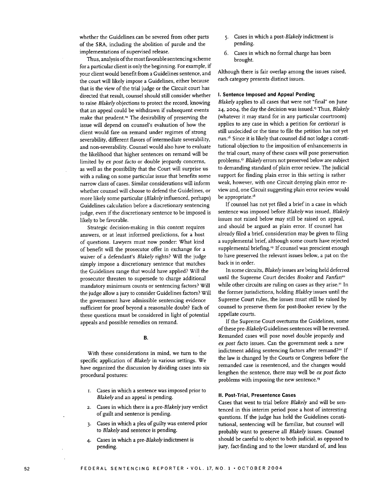whether the Guidelines. can be severed from other parts of the SRA, including the abolition of parole and the implementations of supervised release.

Thus, analysis of the most favorable sentencing scheme for a particular client is only the beginning. For example, if your client would benefit from a Guidelines sentence, and the court will likely impose a Guidelines, either because that is the view of the trial judge or the Circuit court has directed that result, counsel should still consider whether to raise *Blakely* objections to protect the record, knowing that an appeal could be withdrawn if subsequent events make that prudent.<sup>14</sup> The desirability of preserving the issue will depend on counsel's evaluation of how the client would fare on remand under regimes of strong severability, different flavors of intermediate severability, and non-severability. Counsel would also have to evaluate the likelihood that higher sentences on remand will be limited by *ex post facto* or double jeopardy concerns, as well as the possibility that the Court will surprise us with a ruling on some particular issue that benefits some narrow class of cases. Similar considerations will inform whether counsel will choose to defend the Guidelines, or more likely some particular *(Blakely* influenced, perhaps) Guidelines calculation before a discretionary sentencing judge, even if the discretionary sentence to be imposed is likely to be favorable.

Strategic decision-making in this context requires answers, or at least informed predictions, for a host of questions. Lawyers must now ponder: What kind of benefit will the prosecutor offer in exchange for a waiver of a defendant's *Blakely* rights? Will the judge simply impose a discretionary sentence that matches the Guidelines range that would have applied? Will the prosecutor threaten to supersede to charge additional mandatory minimum counts or sentencing factors? Will the judge allow a jury to consider Guidelines factors? Will the government have admissible sentencing evidence sufficient for proof beyond a reasonable doubt? Each of these questions must be considered in light of potential appeals and possible remedies on remand.

#### B.

With these considerations in mind, we turn to the specific application of *Blakely* in various settings. We have organized the discussion by dividing cases into six procedural postures:

- i. Cases in which a sentence was imposed prior to *Blakely* and an appeal is pending.
- 2. Cases in which there is a *pre-Blakely* jury verdict of guilt and sentence is pending.
- 3. Cases in which a plea of guilty was entered prior to *Blakely* and sentence is pending.
- 4. Cases in which a pre-Blakely indictment is pending.
- 5. Cases in which a *post-Blakely* indictment is pending.
- 6. Cases in which no formal charge has been brought.

Although there is fair overlap among the issues raised, each category presents distinct issues.

#### **I. Sentence Imposed and Appeal Pending**

*Blakely* applies to all cases that were not "final" on June 24, 2004, the day the decision was issued.'5 Thus, *Blakely* (whatever it may stand for in any particular courtroom) applies to any case in which a petition for *certiorari* is still undecided or the time to file the petition has not yet run.'6 Since it is likely that counsel did not lodge a constitutional objection to the imposition of enhancements in the trial court, many of these cases will pose preservation problems.'7 Blakelyerrors not preserved below are subject to demanding standard of plain error review. The judicial support for finding plain error in this setting is rather weak, however, with one Circuit denying plain error review and, one Circuit suggesting plain error review would be appropriate.<sup>18</sup>

If counsel has not yet filed a brief in a case in which sentence was imposed before *Blakely* was issued, *Blakely* issues not raised below may still be raised on appeal, and should be argued as plain error. If counsel has already filed a brief, consideration may be given to filing a supplemental brief, although some courts have rejected supplemental briefing.<sup>19</sup> If counsel was prescient enough to have preserved the relevant issues below, a pat on the back is in order.

In some circuits, *Blakely* issues are being held deferred until the Supreme Court decides *Booker* and *Fanfano* while other circuits are ruling on cases as they arise.<sup>21</sup> In the former jurisdictions, holding *Blakley* issues until the Supreme Court rules, the issues must still be raised by counsel to preserve them for post-Booker review by the appellate courts.

If the Supreme Court overturns the Guidelines, some of these pre-Blakely Guidelines sentences will be reversed. Remanded cases will pose novel double jeopardy and *ex post facto* issues. Can the government seek a new indictment adding sentencing factors after remand?<sup>22</sup> If the law is changed by the Courts or Congress before the remanded case is resentenced, and the changes would lengthen the sentence, there may well be *ex post facto* problems with imposing the new sentence.<sup>23</sup>

#### **I. Post-Trial, Presentence Cases**

Cases that went to trial before *Blakely* and will be sentenced in this interim period pose a host of interesting questions. If the judge has held the Guidelines constitutional, sentencing will be familiar, but counsel will probably want to preserve all *Blakely* issues. Counsel should be careful to object to both judicial, as opposed to jury, fact-finding and to the lower standard of, and less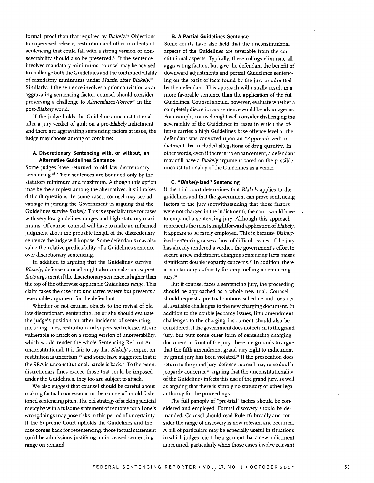formal, proof than that required by *Blakely.14* Objections to supervised release, restitution and other incidents of sentencing that could fall with a strong version of nonseverability should also be preserved.<sup>25</sup> If the sentence involves mandatory minimums, counsel may be advised to challenge both the Guidelines and the continued vitality of mandatory minimums under *Harris,* after *Blakely.26* Similarly, if the sentence involves a prior conviction as an aggravating sentencing factor, counsel should consider preserving a challenge to *Almendarez-Torres<sup>27</sup>* in the *post-Blakely* world.

If the judge holds the Guidelines unconstitutional after a jury verdict of guilt on a *pre-Blakely* indictment and there are aggravating sentencing factors at issue, the judge may choose among or combine:

#### **A. Discretionary Sentencing with, or without, an Alternative Guidelines Sentence**

Some judges have returned to old law discretionary sentencing.<sup>28</sup> Their sentences are bounded only by the statutory minimum and maximum. Although this option may be the simplest among the alternatives, it still raises difficult questions. In some cases, counsel may see advantage in joining the Government in arguing that the Guidelines survive *Blakely.* This is especially true for cases with very low guidelines ranges and high statutory maximums. Of course, counsel will have to make an informed judgment about the probable length of the discretionary sentence the judge will impose. Some defendants may also value the relative predictability of a Guidelines sentence over discretionary sentencing.

In addition to arguing that the Guidelines survive *Blakely,* defense counsel might also consider an *ex post* facto argument if the discretionary sentence is higher than the top of the otherwise-applicable Guidelines range. This claim takes the case into uncharted waters but presents a reasonable argument for the defendant.

Whether or not counsel objects to the revival of old law discretionary sentencing, he or she should evaluate the judge's position on other incidents of sentencing, including fines, restitution and supervised release. All are vulnerable to attack on a strong version of unseverability, which would render the whole Sentencing Reform Act unconstitutional. It is fair to say that *Blakelys* impact on restitution is uncertain,<sup>29</sup> and some have suggested that if the SRA is unconstitutional, parole is back.<sup>30</sup> To the extent discretionary fines exceed those that could be imposed under the Guidelines, they too are subject to attack.

We also suggest that counsel should be careful about making factual concessions in the course of an old fashioned sentencing pitch. The old strategy of seeking judicial mercy by with a fulsome statement of remorse for all one's wrongdoings may pose risks in this period of uncertainty. If the Supreme Court upholds the Guidelines and the case comes back for resentencing, those factual statement could be admissions justifying an increased sentencing range on remand.

#### **B. A Partial Guidelines Sentence**

Some courts have also held that the unconstitutional aspects of the Guidelines are severable from the constitutional aspects. Typically, these rulings eliminate all aggravating factors, but give the defendant the benefit of downward adjustments and permit Guidelines sentencing on the basis of facts found by the jury or admitted by the defendant. This approach will usually result in a more favorable sentence than the application of the full Guidelines. Counsel should, however, evaluate whether a completely discretionary sentence would be advantageous. For example, counsel might well consider challenging the severability of the Guidelines in cases in which the offense carries a high Guidelines base offense level or the defendant was convicted upon an *"Apprendi-ized"* indictment that included allegations of drug quantity. In other words, even if there is no enhancement, a defendant may still have a *Blakely* argument based on the possible unconstitutionality of the Guidelines as a whole.

#### **C. "Blakely-ized" Sentencing**

If the trial court determines that *Blakely* applies to the guidelines and that the government can prove sentencing factors to the jury (notwithstanding that those factors were not charged in the indictment), the court would have to empanel a sentencing jury. Although this approach represents the most straightforward application of *Blakely,* it appears to be rarely employed. This is because *Blakely*ized sentencing raises a host of difficult issues. If the jury has already rendered a verdict, the government's effort to secure a new indictment, charging sentencing facts, raises significant double jeopardy concerns." In addition, there is no statutory authority for empanelling a sentencing jury.<sup>32</sup>

But if counsel faces a sentencing jury, the proceeding should be approached as a whole new trial. Counsel should request a pre-trial motions schedule and consider all available challenges to the new charging document. In addition to the double jeopardy issues, fifth amendment challenges to the charging instrument should also be considered. If the government does not return to the grand jury, but puts some other form of sentencing charging document in front of the jury, there are grounds to argue that the fifth amendment grand jury right to indictment by grand jury has been violated.<sup>33</sup> If the prosecution does return to the grand jury, defense counsel may raise double jeopardy concerns,<sup>34</sup> arguing that the unconstitutionality of the Guidelines infects this use of the grand jury, as well as arguing that there is simply no statutory or other legal authority for the proceedings.

The full panoply of "pre-trial" tactics should be considered and employed. Formal discovery should be demanded. Counsel should read Rule 16 broadly and consider the range of discovery is now relevant and required. A bill of particulars may be especially useful in situations in which judges reject the argument that a new indictment is required, particularly when those cases involve relevant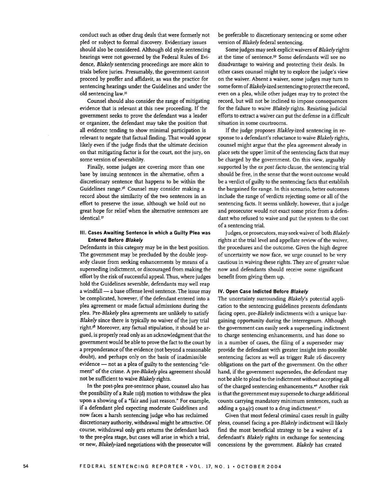conduct such as other drug deals that were formerly not pled or subject to formal discovery. Evidentiary issues should also be considered. Although old style sentencing hearings were not governed by the Federal Rules of Evidence, *Blakely* sentencing proceedings are more akin to trials before juries. Presumably, the government cannot proceed by proffer and affidavit, as was the practice for sentencing hearings under the Guidelines and under the old sentencing law.<sup>35</sup>

Counsel should also consider the range of mitigating evidence that is relevant at this new proceeding. If the government seeks to prove the defendant was a leader or organizer, the defendant may take the position that all evidence tending to show minimal participation is relevant to negate that factual finding. That would appear likely even if the judge finds that the ultimate decision on that mitigating factor is for the court, not the jury, on some version of severability.

Finally, some judges are covering more than one base by issuing sentences in the alternative, often a discretionary sentence that happens to be within the Guidelines range.<sup>36</sup> Counsel may consider making a record about the similarity of the two sentences in an effort to preserve the issue, although we hold out no great hope for relief when the alternative sentences are identical.37

#### **Ill. Cases Awaiting Sentence in which a Guilty Plea was Entered Before Blakely**

Defendants in this category may be in the best position. The government may be precluded by the double jeopardy clause from seeking enhancements by means of a superseding indictment, or discouraged from making the effort by the risk of successful appeal. Thus, where judges hold the Guidelines severable, defendants may well reap a windfall - a base offense level sentence. The issue may be complicated, however, if the defendant entered into a plea agreement or made factual admissions during the plea. *Pre-Blakely* plea agreements are unlikely to satisfy *Blakely* since there is typically no waiver of the jury trial right.<sup>38</sup> Moreover, any factual stipulation, it should be argued, is properly read only as an acknowledgment that the government would be able to prove the fact to the court by a preponderance of the evidence (not beyond a reasonable doubt), and perhaps only on the basis of inadmissible evidence - not as a plea of guilty to the sentencing "element" of the crime. A *pre-Blakely* plea agreement should not be sufficient to waive *Blakely* rights.

In the post-plea pre-sentence phase, counsel also has the possibility of a Rule II(d) motion to withdraw the plea upon a showing of a "fair and just reason." For example, if a defendant pled expecting moderate Guidelines and now faces a harsh sentencing judge who has reclaimed discretionary authority, withdrawal might be attractive. Of course, withdrawal only gets returns the defendant back to the pre-plea stage, but cases will arise in which a trial, or new, *Blakely-ized* negotiations with the prosecutor will

be preferable to discretionary sentencing or some other version of *Blakely* federal sentencing.

Some judges may seek explicit waivers of Blakelyrights at the time of sentence.<sup>39</sup> Some defendants will see no disadvantage to waiving and protecting their deals. In other cases counsel might try to explore the judge's view on the waiver. Absent a waiver, some judges may turn to some form of Blakely-ized sentencing to protect the record, even on a plea, while other judges may try to protect the record, but will not be inclined to impose consequences for the failure to waive *Blakely* rights. Resisting judicial efforts to extract a waiver can put the defense in a difficult situation in some courtrooms.

If the judge proposes Blakley-ized sentencing in response to a defendant's reluctance to waive *Blakely* rights, counsel might argue that the plea agreement already in place sets the upper limit of the sentencing facts that may be charged by the government. On this view, arguably supported by the *ex post facto* clause, the sentencing trial should be free, in the sense that the worst outcome would be a verdict of guilty to the sentencing facts that establish the bargained for range. In this scenario, better outcomes include the range of verdicts rejecting some or all of the sentencing facts. It seems unlikely, however, that a judge and prosecutor would not exact some price from a defendant who refused to waive and put the system to the cost of a sentencing trial.

Judges, or prosecutors, may seek waiver of both *Blakely* rights at the trial level and appellate review of the waiver, the procedures and the outcome. Given the high degree of uncertainty we now face, we urge counsel to be very cautious in waiving these rights. They are of greater value now and defendants should receive some significant benefit from giving them up.

#### **IV. Open Case Indicted Before Blakely**

The uncertainty surrounding *Blakelys* potential application to the sentencing guidelines presents defendants facing open, *pre-Blakely* indictments with a unique bargaining opportunity during the interregnum. Although the government can easily seek a superseding indictment to charge sentencing enhancements, and has done so in a number of cases, the filing of a superseder may provide the defendant with greater insight into possible sentencing factors as well as trigger Rule i6 discovery obligations on the part of the government. On the other hand, if the government supersedes, the defendant may not be able to plead to the indictment without accepting all of the charged sentencing enhancements.4° Another risk is that the government may supersede to charge additional counts carrying mandatory minimum sentences, such as adding a  $924(c)$  count to a drug indictment.<sup>41</sup>

Given that most federal criminal cases result in guilty pleas, counsel facing a *pre-Blakely* indictment will likely find the most beneficial strategy to be a waiver of a defendant's *Blakely* rights in exchange for sentencing concessions by the government. *Blakely* has created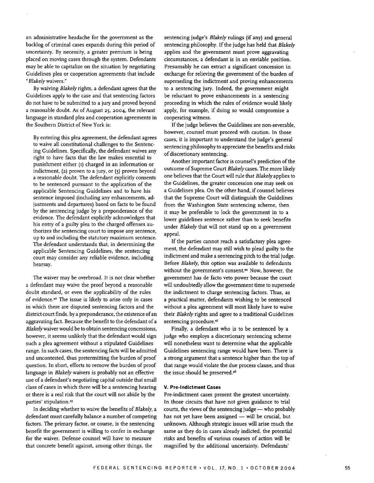an administrative headache for the government as the backlog of criminal cases expands during this period of uncertainty. By necessity, a greater premium is being placed on moving cases through the system. Defendants may be able to capitalize on the situation by negotiating Guidelines plea or cooperation agreements that include *"Blakely* waivers."

By waiving *Blakely* rights, a defendant agrees that the Guidelines apply to the case and that sentencing factors do not have to be submitted to a jury and proved beyond a reasonable doubt. As of August **25, 2004,** the relevant language in standard plea and cooperation agreements in the Southern District of New York is:

By entering this plea agreement, the defendant agrees to waive all constitutional challenges to the Sentencing Guidelines. Specifically, the defendant waives any right to have facts that the law makes essential to punishment either (i) charged in an information or indictment, **(2)** proven to a jury, or (3) proven beyond a reasonable doubt. The defendant explicitly consents to be sentenced pursuant to the application of the applicable Sentencing Guidelines and to have his sentence imposed (including any enhancements, adjustments and departures) based on facts to be found by the sentencing judge by a preponderance of the evidence. The defendant explicitly acknowledges that his entry of a guilty plea to the charged offenses authorizes the sentencing court to impose any sentence, up to and including the statutory maximum sentence. The defendant understands that, in determining the applicable Sentencing Guidelines, the sentencing court may consider any reliable evidence, including hearsay.

The waiver may be overbroad. It is not clear whether a defendant may waive the proof beyond a reasonable doubt standard, or even the applicability of the rules of evidence.42 The issue is likely to arise only in cases in which there are disputed sentencing factors and the district court finds, by a preponderance, the existence of an aggravating fact. Because the benefit to the defendant of a Blakelywaiver would be to obtain sentencing concessions, however, it seems unlikely that the defendant would sign such a plea agreement without a stipulated Guidelines range. In such cases, the sentencing facts will be admitted and uncontested, thus pretermitting the burden of proof question. In short, efforts to remove the burden of proof language in *Blakely* waivers is probably not an effective use of a defendant's negotiating capital outside that small class of cases in which there will be a sentencing hearing or there is a real risk that the court will not abide by the parties' stipulation.<sup>43</sup>

In deciding whether to waive the benefits of *Blakely, a* defendant must carefully balance a number of competing factors. The primary factor, or course, is the sentencing benefit the government is willing to confer in exchange for the waiver. Defense counsel will have to measure that concrete benefit against, among other things, the

sentencing judge's *Blakely* rulings (if any) and general sentencing philosophy. **If** the judge has held that *Blakely* applies and the government must prove aggravating circumstances, a defendant is in an enviable position. Presumably he can extract a significant concession in exchange for relieving the government of the burden of superseding the indictment and proving enhancements to a sentencing jury. Indeed, the government might be reluctant to prove enhancements in a sentencing proceeding in which the rules of evidence would likely apply, for example, if doing so would compromise a cooperating witness.

If the judge believes the Guidelines are non-severable, however, counsel must proceed with caution. In those cases, it is important to understand the judge's general sentencing philosophy to appreciate the benefits and risks of discretionary sentencing.

Another important factor is counsel's prediction of the outcome of Supreme Court *Blakely* cases. The more likely one believes that the Court will rule that *Blakely* applies to the Guidelines, the greater concession one may seek on a Guidelines plea. On the other hand, if counsel believes that the Supreme Court will distinguish the Guidelines from the Washington State sentencing scheme, then it may be preferable to lock the government in to a lower guidelines sentence rather than to seek benefits under *Blakely* that will not stand up on a government appeal.

**If** the parties cannot reach a satisfactory plea agreement, the defendant may still wish to plead guilty to the indictment and make a sentencing pitch to the trial judge. Before *Blakely,* this option was available to defendants without the government's consent.<sup>44</sup> Now, however, the government has de facto veto power because the court will undoubtedly allow the government time to supersede the indictment to charge sentencing factors. Thus, as a practical matter, defendants wishing to be sentenced without a plea agreement will most likely have to waive their *Blakely* rights and agree to a traditional Guidelines sentencing procedure.<sup>45</sup>

Finally, a defendant who is to be sentenced **by** a judge who employs a discretionary sentencing scheme will nonetheless want to determine what the applicable Guidelines sentencing range would have been. There is a strong argument that a sentence higher than the top of that range would violate the due process clause, and thus the issue should be preserved.<sup>46</sup>

#### **V. Pre-indictment Cases**

Pre-indictment cases present the greatest uncertainty. In those circuits that have not given guidance to trial courts, the views of the sentencing judge **-** who probably has not yet have been assigned - will be crucial, but unknown. Although strategic issues **will** arise much the same as they do in cases already indicted, the potential risks and benefits of various courses of action will be magnified **by** the additional uncertainty. Defendants'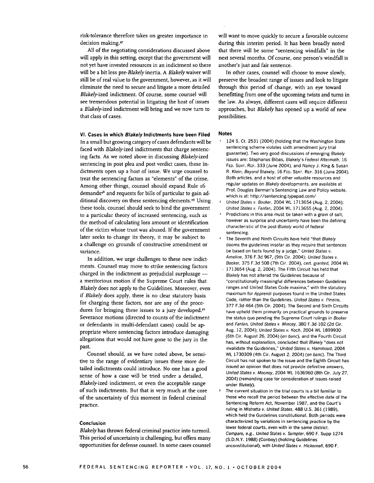risk-tolerance therefore takes on greater importance in decision making.47

All of the negotiating considerations discussed above will apply in this setting, except that the government will not yet have invested resources in an indictment so there will be a bit less *pre-Blakely* inertia. A *Blakely* waiver will still be of real value to the government, however, as it will eliminate the need to secure and litigate a more detailed *Blakely-ized* indictment. Of course, some counsel will see tremendous potential in litigating the host of issues a Blakely-ized indictment will bring and we now turn to that class of cases.

**VI. Cases in which Blakely Indictments have been Filed**

In a small but growing category of cases defendants will be faced with *Blakely-ized* indictments that charge sentencing facts. As we noted above in discussing *Blakely-ized* sentencing in post plea and post verdict cases, these indictments open up a host of issue. We urge counsel to treat the sentencing factors as "elements" of the crime. Among other things, counsel should expand Rule i6 demands<sup>48</sup> and requests for bills of particular to gain additional discovery on these sentencing elements.<sup>49</sup> Using these tools, counsel should seek to bind the government to a particular theory of increased sentencing, such as the method of calculating loss amount or identification of the victim whose trust was abused. If the government later seeks to change its theory, it may be subject to a challenge on grounds of constructive amendment or variance.

In addition, we urge challenges to these new indictments. Counsel may move to strike sentencing factors charged in the indictment as prejudicial surplusage  $$ a meritorious motion if the Supreme Court rules that *Blakely* does not apply to the Guidelines. Moreover, even if *Blakely* does apply, there is no clear statutory basis for charging these factors, nor are any of the procedures for bringing these issues to a jury developed.<sup>50</sup> Severance motions (directed to counts of the indictment or defendants in multi-defendant cases) could be appropriate where sentencing factors introduce damaging allegations that would not have gone to the jury in the past.

Counsel should, as we have noted above, be sensitive to the range of evidentiary issues these more detailed indictments could introduce. No one has a good sense of how a case will be tried under a detailed, *Blakely-ized* indictment, or even the acceptable range of such indictments. But that is very much at the core of the uncertainty of this moment in federal criminal practice.

#### **Conclusion**

*Blakely* has thrown federal criminal practice into turmoil. This period of uncertainty is challenging, but offers many opportunities for defense counsel. In some cases counsel will want to move quickly to secure a favorable outcome during this interim period. It has been broadly noted that there will be some "sentencing windfalls" in the next several months. Of course, one person's windfall is another's just and fair sentence.

In other cases, counsel will choose to move slowly, preserve the broadest range of issues and look to litigate through this period of change, with an eye toward benefitting from one of the upcoming twists and turns in the law. As always, different cases will require different approaches, but *Blakely* has opened up a world of new possibilities.

#### **Notes**

- $\mathbf{1}$ 124 **S.** Ct. 2531 (2004) (holding that the Washington State sentencing scheme violates sixth amendment jury trial guarantee). Two very good discussions of emerging Blakely issues are: Stephanos Bibas, Blakely's Federal Aftermath, 16 FED. SENT. REP. 333 (June 2004), and Nancy J. King & Susan R. Klein, Beyond Blakely, 16 FED. SENT. REP. 316 (June 2004). Both articles, and a host of other valuable resources and regular updates on Blakely developments, are available at Prof. Douglas Berman's Sentencing Law and Policy website, which is at: http://sentencing.typepad.com/
- <sup>2</sup>United States v. Booker, 2004 WL 1713654 (Aug. 2, 2004); United States v. Fanfan, 2004 WL 1713655 (Aug. 2, 2004).
- **<sup>3</sup>**Predictions in this area must be taken with a grain of salt, however as surprise and uncertainty have been the defining characteristic of the post.Blakely world of federal sentencing.
- The Seventh and Ninth Circuits have held "that Blakely dooms the guidelines insofar as they require that sentences be based on facts found by a judge," United States v. Ameline, 376 F.3d 967, (9th Cir. 2004); United States v. Booker, 375 F.3d 508 (7th Cir. 2004), cert. granted, 2004 WL
- 1713654 (Aug. 2, 2004). The Fifth Circuit has held that Blakely has not altered the Guidelines because of "constitutionally meaningful differences between Guidelines ranges and United States Code maxima," with the statutory maximum for Apprendi purposes found in the United States Code, rather than the Guidelines. United States v. Pineiro, 377 F.3d 464 (5th Cir. 2004). The Second and Sixth Circuits have upheld them primarily on practical grounds to preserve the status quo pending the Supreme Court rulings in Booker and Fanfan, United States v. Mincey, 380 F.3d 102 (2d Cir. Aug. 12, 2004); United States v. Koch, 2004 WL 1899930 (6th Cir. August 26, 2004) (en banc), and the Fourth Circuit has, without explanation, concluded that Blakely "does not invalidate the Guidelines," United States v. Hammoud, 2004 WL 1730309 (4th Cir. August 2, 2004) (en banc). The Third Circuit has not spoken to the issue and the Eighth Circuit has issued an opinion that does not provide definitive answers, United States v. Mooney, 2004 WL 1636960 (8th Cir. July 27, 2004) (remanding case for consideration of issues raised under Blakely).
- **5** The current situation in the trial courts is a bit familiar to those who recall the period between the effective date of the Sentencing Reform Act, November 1987, and the Court's ruling in Mistretta v. United States, **488** U.S. 361 (1989), which held the Guidelines constitutional. Both periods were characterized by variations in sentencing practice by the lower federal courts, even with in the same district. Compare, e.g., United States v. Sumpter, 690 F. Supp 1274 (S.D.N.Y. 1988) (Conboy) (holding Guidelines unconstitutional), with United States v. Hickernell, 690 F.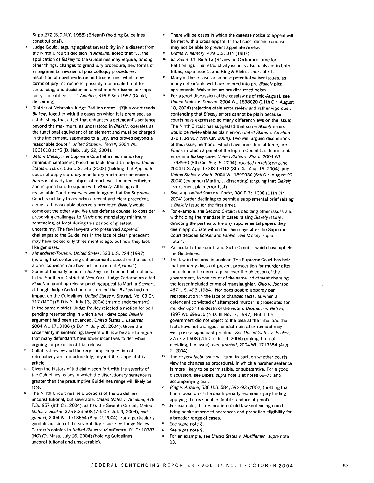Supp 272 (S.D.N.Y. 1988) (Brieant) (holding Guidelines constitutional).

- **<sup>6</sup>**Judge Gould, arguing against severability in his dissent from the Ninth Circuit's decision in Ameline, noted that "...the application of Blakely to the Guidelines may require, among other things, changes to grand jury procedure, new forms of arraignments, revision of plea colloquy procedures, resolution of novel evidence and trial issues, whole new forms of jury instructions, possibly a bifurcated trial for sentencing, and decision on a host of other issues perhaps not yet identified **....** Ameline, 376 F.3d at 987 (Gould, J. dissenting).
- District of Nebraska Judge Batillon noted, "[t]his court reads *Blakely,* together with the cases on which it is premised, as establishing that a fact that enhances a defendant's sentence beyond the maximum, as understood in Blakely, operates as the functional equivalent of an element and must be charged in the indictment, submitted to a jury, and proved beyond a reasonable doubt." United States v. Terrell, 2004 WL 1661018 at **\*5 (D.** Neb. July 22, 2004).
- Before Blakely, the Supreme Court affirmed mandatory minimum sentencing based on facts found by judges. United *States* v. Harris, 536 U.S. 545 (2002) (holding that Apprendi does not apply statutory mandatory minimum sentences). Harris is already the subject of much well founded criticism and is quite hard to square with Blakely. Although all reasonable Court observers would agree that the Supreme Court is unlikely to abandon a recent and clear precedent, almost all reasonable observers predicted Blakely would come out the other way. We urge defense counsel to consider preserving challenges to Harris and mandatory minimum sentencing, at least during this period of greatest uncertainty. The few lawyers who preserved Apprendi challenges to the Guidelines in the face of clear precedent may have looked silly three months ago, but now they look like geniuses.
- *Almendarez-Torres* v. United States, 523 U.S. 224 (1997) (holding that sentencing enhancements based on the fact of a prior conviction are beyond the reach of Apprendi).
- Some of the early action in Blakely has been in bail motions. In the Southern District of New York, Judge Cedarbaum cited Blakely in granting release pending appeal to Martha Stewart, although Judge Cedarbaum also ruled that Blakely had no impact on the Guidelines. United States v. Stewart, No. 03 Cr. 717 (MGC) **(S.D.N.Y.** July 13, 2004) (memo endorsement). In the same district, Judge Pauley rejected a motion for bail pending resentencing in which a well developed Blakely argument had been advanced. United States v. Lauersen, 2004 WL 1713186 (S.D.N.Y. July 26, 2004). Given the uncertainty in sentencing, lawyers will now be able to argue that many defendants have lower incentives to flee when arguing for pre-or post-trial release.
- **11** Collateral review and the very complex question of retroactivity are, unfortunately, beyond the scope of this article.
- $12$ Given the history of judicial discomfort with the severity of the Guidelines, cases in which the discretionary sentence is greater than the presumptive Guidelines range will likely be rare.
- **<sup>13</sup>**The Ninth Circuit has held portions of the Guidelines unconstitutional, but severable, United States v. Ameline, 376 F.3d 967 (9th Cir. 2004), as has the Seventh Circuit, United States v. Booker, 375 F.3d 508 (7th Cir. Jul. 9, 2004), cert. granted, 2004 WL 1713654 (Aug. 2, 2004). For a particularly good discussion of the severability issue, see Judge Nancy Gertner's opinion in United States v. Mueffleman, 01 Cr 10387 (NG) **(D.** Mass. July 26, 2004) (holding Guidelines unconstitutional and unseverable).
- There will be cases in which the defense notice of appeal will be met with a cross-appeal. In that case, defense counsel may not be able to prevent appellate review.
- **15** Griffith v. Kentcky, 479 U.S. 314 (1987).
- *16* Id. See S. Ct. Rule 13 (Review on Certiorari: Time for Petitioning). The retroactivity issue is also analyzed in both Bibas, supra note 1, and King & Klein, supra note 1.
- <sup>17</sup> Many of these cases also pose potential waiver issues, as many defendants will have entered into pre-Blakely plea agreements. Waiver issues are discussed below.
- **18** For a good discussion of the caselaw as of mid-August, see United States v. Duncan, 2004 WL 1838020 (11th Cir. August 18, 2004) (rejecting plain error review and rather vigorously contending that Blakely errors cannot be plain because courts have expressed so many different views on the issue). The Ninth Circuit has suggested that some Blakely errors would be reviewable as plain error. United States v. Ameline, 376 F.3d 967 (9th Cir. 2004). Two well argued discussions of this issue, neither of which have precedential force, are Pirani, in which a panel of the Eighth Circuit had found plain error in a Blakely case, United States v. Pirani, 2004 WL 1748930 (8th Cir. Aug. 5, 2004), vacated on reh'g en banc, 2004 U.S. App. LEXIS 17012 (8th Cir. Aug. 16, 2004), and United States v. Koch, 2004 WL 1899930 (6th Cir. August 26, 2004) (en banc) (Martin, J. dissenting) (arguing that Blakely errors meet plain error test).
- **19** See, e.g. United States v. Curtis, 380 F.3d 1308 (11th Cir. 2004) (order declining to permit a supplemental brief raising a Blakely issue for the first time).
- 20 For example, the Second Circuit is deciding other issues and withholding the mandate in cases raising Blakely issues, directing the parties to file any supplemental papers they deem appropriate within fourteen days after the Supreme Court decides Booker and Fantan. See Mincey, supra note 4.
- **<sup>21</sup>**Particularly the Fourth and Sixth Circuits, which have upheld the Guidelines.
- 22 The law in this area is unclear. The Supreme Court has held that jeopardy does not prevent prosecution for murder after the defendant entered a plea, over the objection of the government, to one count of the same indictment charging the lesser included crime of manslaughter. Ohio v. Johnson, 467 U.S. 493 (1984). Nor does double jeopardy bar reprosecution in the face of changed facts, as when a defendant convicted of attempted murder is prosecuted for murder upon the death of the victim. Baumann v. Nelson, 1997 WL 699655 (N.D. III Nov. 7, 1997). But if the government did not object to the plea at the time, and the facts have not changed, reindictment after remand may well pose a significant problem. See United States v. Booker, 375 F.3d 508 (7th Cir. Jul. 9, 2004) (noting, but not deciding, the issue), cert. granted, 2004 WL 1713654 (Aug. 2, 2004).
- **23** The ex post *facto* issue will turn, in part, on whether courts view the changes as procedural, in which a harsher sentence is more likely to be permissible, or substantive. For a good discussion, see Bibas, supra note 1 at notes 69-71 and accompanying text.
- 24 Ring v. Arizona, 536 U.S. 584, 592-93 (2002) (holding that the imposition of the death penalty requires a jury finding applying the reasonable doubt standard of proof).
- 25 For example, the restoration of old law sentencing could bring back suspended sentences and probation eligibility for a broader range of cases.
- **26** See supra note 8.
- *27* See supra note 9.
- **28** For an example, see United States v. Mueffleman, supra note **13.**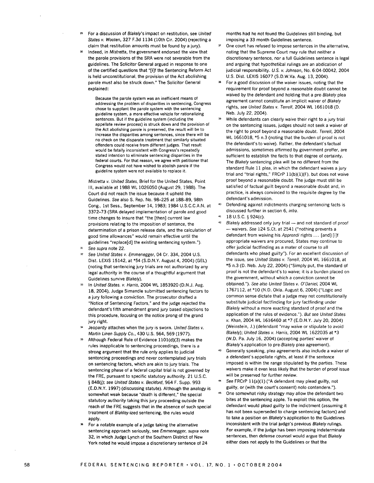For a discussion of Blakely's impact on restitution, see United States v. Wooten, 327 F.3d 1134 (10th Cir. 2004) (rejecting a claim that restitution amounts must be found by a jury).

**<sup>30</sup>**Indeed, in Mistretta, the government endorsed the view that the parole provisions of the SRA were not severable from the guidelines. The Solicitor General argued in response to one of the certified questions that "[i]f the Sentencing Reform Act is held unconstitutional, the provision of the Act abolishing parole must also be struck down." The Solicitor General explained:

Because the parole system was an inefficient means of addressing the problem of disparities in sentencing, Congress chose to supplant the parole system with the sentencing guideline system, a more effective vehicle for rationalizing sentences. But if the guideline system (including the appellate review process) is struck down and the provision of the Act abolishing parole is preserved, the result will be to increase the disparities among sentences, since there will be no check on the disparate treatment that similarly situated offenders could receive from different judges. That result would be fatally inconsistent with Congress's repeatedly stated intention to eliminate sentencing disparities in the federal courts. For that reason, we agree with petitioner that Congress would not have wished to abolish parole if the guideline system were not available to replace it.

Mistretta *v.* United States, Brief for the United States, Point Ill, available at 1988 WL 1026050 (August 29, 1988). The Court did not reach the issue because it upheld the Guidelines. See also S. Rep. No. 98-225 at 188-89, 98th Cong., 1st Sess., September 14, 1983; 1984 U.S.C.C.A.N. at 3372-73 (SRA delayed implementation of parole and good time changes to insure that "the [then] current law provisions relating to the imposition of sentence, the determination of a prison release date, and the calculation of good time allowances" would remain effective until the guidelines "replace[d] the existing sentencing system."). **31** See supra note 22.

- 
- **<sup>32</sup>**See United States v. Emmenegger, 04 Cr. 334, 2004 U.S. Dist. LEXIS 15142, at \*54 (S.D.N.Y. August 4, 2004) (GEL) (noting that sentencing jury trials are not authorized by any legal authority in the course of a thoughtful argument that Guidelines survive Blakely).
- **<sup>33</sup>**In United States. v. Harris, 2004 WL 1853920 (D.N.J. Aug. 18, 2004), Judge Simandle submitted sentencing factors to a jury following a conviction. The prosecutor drafted a "Notice of Sentencing Factors," and the judge rejected the defendant's fifth amendment grand jury based objections to this procedure, focusing on the notice prong of the grand jury right.
- Jeopardy attaches when the jury is sworn. United States v. Martin Linen Supply Co., 430 U.S. 564, 569 (1977).
- **<sup>35</sup>**Although Federal Rule of Evidence 1101(d)(3) makes the rules inapplicable to sentencing proceedings, there is a strong argument that the rule only applies to judicial sentencing proceedings and never contemplated jury trials on sentencing factors, which are akin to jury trials. The sentencing phase of a federal capital trial is not governed by the FRE, pursuant to specific statutory authority. 21 U.S.C. § 848(j); see United States v. Beckford, 964 F. Supp. 993 **(E.D.N.Y.** 1997) (discussing statute). Although the analogy is somewhat weak because "death is different," the special statutory authority taking this jury proceeding outside the reach of the FRE suggests that in the absence of such special treatment of Blakley.ized sentencing, the rules would apply.
- **<sup>36</sup>**For a notable example of a judge taking the alternative sentencing approach seriously, see Emmenegger, supra note **32,** in which Judge Lynch of the Southern District of New York noted he would impose a discretionary sentence of 24

months had he not found the Guidelines still binding, but imposing a 33 month Guidelines sentence.

- **3'** One court has refused to impose sentences in the alternative, noting that the Supreme Court may rule that neither a discretionary sentence, nor a full Guidelines sentence is legal and arguing that hypothetical rulings are an abdication of judicial responsibility. U.S. v. Johnson, No. 6:04-00042, 2004 U.S. Dist. LEXIS 16077 (S.D.W.Va. Aug. 13, 2004).
- **<sup>38</sup>**For a good discussion of the waiver issues, noting that the requirement for proof beyond a reasonable doubt cannot be waived by the defendant and holding that a pre-Blakely plea agreement cannot constitute an implicit waiver of Blakely rights, see United States v. Terrell, 2004 WL 1661018 (D. Neb. July 22, 2004).
- **<sup>39</sup>**While defendants can clearly waive their right to a jury trial on the sentencing issues, judges should not seek a waiver of the right to proof beyond a reasonable doubt. Terrell, 2004 WL 1661018, \*5 n.3 (noting that the burden of proof is not the defendant's to waive). Rather, the defendant's factual admissions, sometimes affirmed by government proffer, are sufficient to establish the facts to that degree of certainty. The Blakely sentencing plea will be no different from the standard Rule 11 plea, in which the defendant waives a jury trial and "trial rights," FRCrP 11(b)(1)(F), but does not waive proof beyond a reasonable doubt. The judge must still be satisfied of factual guilt beyond a reasonable doubt and, in practice, is always convinced to the requisite degree by the defendant's admission.
- **<sup>40</sup>**Defending against indictments charging sentencing facts is discussed further in section 6, infra.
- <sup>41</sup>18 U.S.C. § 924(c).
- 42 Blakely addressed only jury trial and not standard of proof - waivers. See 124 S.Ct. at 2541 ("nothing prevents a defendant from waiving his Apprendi rights ... [and] [i]f appropriate waivers are procured, States may continue to offer judicial factfinding as a mater of course to all defendants who plead guilty"). For an excellent discussion of the issue, see United States v. Terrell, 2004 WL 1661018, at \*5 n.3 (D. Neb. July 22, 2004) ("Simply put, the standard of proof is not the defendant's to waive; it is a burden placed on the government, without which a conviction cannot be obtained."). See also United States v. O'Daniel, 2004 WL 1767112, at **\*10** (N.D. Okla. August 6, 2004) ("Logic and common sense dictate that a judge may not constitutionally substitute judicial factfinding for jury factfinding under Blakely without a more exacting standard of proof and the application of the rules of evidence."). But see United States v. Khan, 2004 WL 1616460 at \*7 (E.D.N.Y. July 20, 2004) (Weinstein, J.) (defendant "may waive or stipulate to avoid Blakely); United States v. Harris, 2004 WL 1622035 at \*3 (W.D. Pa. July 16, 2004) (accepting parties' waiver of Blakely's application to pre-Blakely plea agreement).
- 43 Generally speaking, plea agreements also include a waiver of a defendant's appellate rights, at least if the sentence imposed is within the range stipulated by the parties. These waivers make it even less likely that the burden of proof issue will be preserved for further review.
- **-** See FRCrP 11(a)(1) ("A defendant may plead guilty, not guilty, or (with the court's consent) nolo contendere."). One somewhat risky strategy may allow the defendant two bites at the sentencing apple. To exploit this option, the defendant would plead guilty to the indictment (assuming it has not been superseded to charge sentencing factors) and to take a position on Blakely's application to the Guidelines inconsistent with the trial judge's previous Blakely rulings. For example, if the judge has been imposing indeterminate sentences, then defense counsel would argue that Blakely either does not apply to the Guidelines or that the